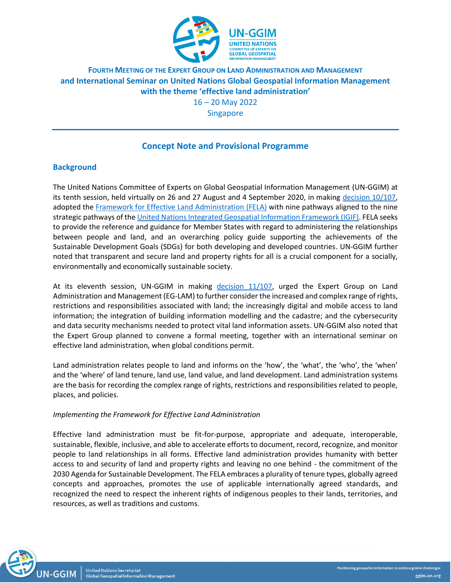

# **FOURTH MEETING OF THE EXPERT GROUP ON LAND ADMINISTRATION AND MANAGEMENT and International Seminar on United Nations Global Geospatial Information Management with the theme 'effective land administration'**

16 – 20 May 2022

Singapore

# **Concept Note and Provisional Programme**

## **Background**

The United Nations Committee of Experts on Global Geospatial Information Management (UN-GGIM) at its tenth session, held virtually on 26 and 27 August and 4 September 2020, in making [decision 10/107,](https://ggim.un.org/meetings/GGIM-committee/10th-Session/documents/GGIM10_report_e.pdf) adopted the [Framework for Effective Land Administration \(FELA\)](https://ggim.un.org/meetings/GGIM-committee/10th-Session/documents/E-C.20-2020-29-Add_2-Framework-for-Effective-Land-Administration.pdf) with nine pathways aligned to the nine strategic pathways of th[e United Nations Integrated Geospatial Information Framework \(IGIF\).](https://ggim.un.org/IGIF/) FELA seeks to provide the reference and guidance for Member States with regard to administering the relationships between people and land, and an overarching policy guide supporting the achievements of the Sustainable Development Goals (SDGs) for both developing and developed countries. UN-GGIM further noted that transparent and secure land and property rights for all is a crucial component for a socially, environmentally and economically sustainable society.

At its eleventh session, UN-GGIM in making [decision 11/107,](https://ggim.un.org/meetings/GGIM-committee/11th-Session/documents/E_2022_46-E_C20_2021_16_E.pdf) urged the Expert Group on Land Administration and Management (EG-LAM) to further consider the increased and complex range of rights, restrictions and responsibilities associated with land; the increasingly digital and mobile access to land information; the integration of building information modelling and the cadastre; and the cybersecurity and data security mechanisms needed to protect vital land information assets. UN-GGIM also noted that the Expert Group planned to convene a formal meeting, together with an international seminar on effective land administration, when global conditions permit.

Land administration relates people to land and informs on the 'how', the 'what', the 'who', the 'when' and the 'where' of land tenure, land use, land value, and land development. Land administration systems are the basis for recording the complex range of rights, restrictions and responsibilities related to people, places, and policies.

### *Implementing the Framework for Effective Land Administration*

Effective land administration must be fit-for-purpose, appropriate and adequate, interoperable, sustainable, flexible, inclusive, and able to accelerate efforts to document, record, recognize, and monitor people to land relationships in all forms. Effective land administration provides humanity with better access to and security of land and property rights and leaving no one behind - the commitment of the 2030 Agenda for Sustainable Development. The FELA embraces a plurality of tenure types, globally agreed concepts and approaches, promotes the use of applicable internationally agreed standards, and recognized the need to respect the inherent rights of indigenous peoples to their lands, territories, and resources, as well as traditions and customs.

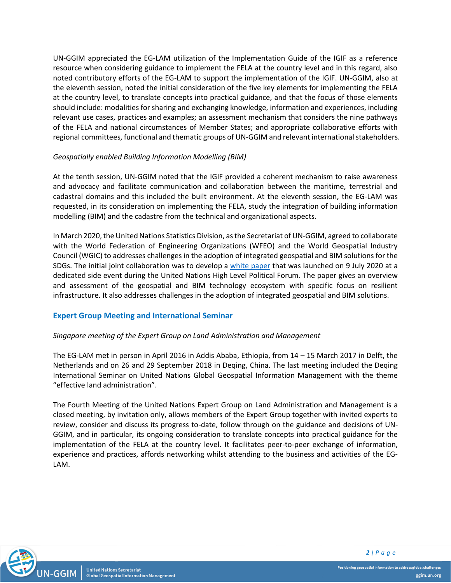UN-GGIM appreciated the EG-LAM utilization of the Implementation Guide of the IGIF as a reference resource when considering guidance to implement the FELA at the country level and in this regard, also noted contributory efforts of the EG-LAM to support the implementation of the IGIF. UN-GGIM, also at the eleventh session, noted the initial consideration of the five key elements for implementing the FELA at the country level, to translate concepts into practical guidance, and that the focus of those elements should include: modalities for sharing and exchanging knowledge, information and experiences, including relevant use cases, practices and examples; an assessment mechanism that considers the nine pathways of the FELA and national circumstances of Member States; and appropriate collaborative efforts with regional committees, functional and thematic groups of UN-GGIM and relevant international stakeholders.

#### *Geospatially enabled Building Information Modelling (BIM)*

At the tenth session, UN-GGIM noted that the IGIF provided a coherent mechanism to raise awareness and advocacy and facilitate communication and collaboration between the maritime, terrestrial and cadastral domains and this included the built environment. At the eleventh session, the EG-LAM was requested, in its consideration on implementing the FELA, study the integration of building information modelling (BIM) and the cadastre from the technical and organizational aspects.

In March 2020, the United Nations Statistics Division, as the Secretariat of UN-GGIM, agreed to collaborate with the World Federation of Engineering Organizations (WFEO) and the World Geospatial Industry Council (WGIC) to addresses challenges in the adoption of integrated geospatial and BIM solutions for the SDGs. The initial joint collaboration was to develop a [white paper](http://www.wfeo.org/wp-content/uploads/members/Webinars/Webinar_HLPF/WGIC-WFEO-UNSD-White-Paper/20200709-WGIC-WFEO-UNSD-White-Paper-Resilient-Infrastructure.pdf) that was launched on 9 July 2020 at a dedicated side event during the United Nations High Level Political Forum. The paper gives an overview and assessment of the geospatial and BIM technology ecosystem with specific focus on resilient infrastructure. It also addresses challenges in the adoption of integrated geospatial and BIM solutions.

#### **Expert Group Meeting and International Seminar**

#### *Singapore meeting of the Expert Group on Land Administration and Management*

The EG-LAM met in person in April 2016 in Addis Ababa, Ethiopia, from 14 – 15 March 2017 in Delft, the Netherlands and on 26 and 29 September 2018 in Deqing, China. The last meeting included the Deqing International Seminar on United Nations Global Geospatial Information Management with the theme "effective land administration".

The Fourth Meeting of the United Nations Expert Group on Land Administration and Management is a closed meeting, by invitation only, allows members of the Expert Group together with invited experts to review, consider and discuss its progress to-date, follow through on the guidance and decisions of UN-GGIM, and in particular, its ongoing consideration to translate concepts into practical guidance for the implementation of the FELA at the country level. It facilitates peer-to-peer exchange of information, experience and practices, affords networking whilst attending to the business and activities of the EG-LAM.

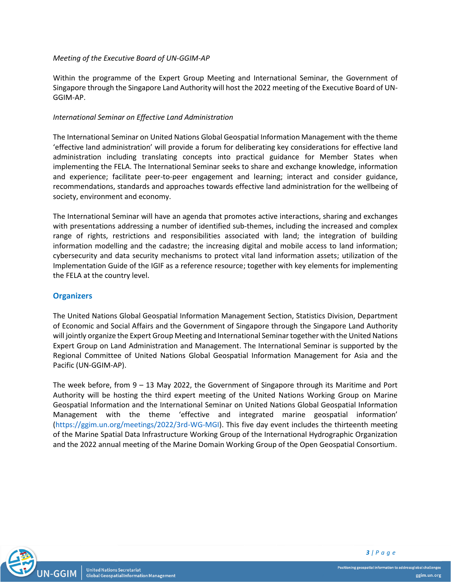#### *Meeting of the Executive Board of UN-GGIM-AP*

Within the programme of the Expert Group Meeting and International Seminar, the Government of Singapore through the Singapore Land Authority will host the 2022 meeting of the Executive Board of UN-GGIM-AP.

#### *International Seminar on Effective Land Administration*

The International Seminar on United Nations Global Geospatial Information Management with the theme 'effective land administration' will provide a forum for deliberating key considerations for effective land administration including translating concepts into practical guidance for Member States when implementing the FELA. The International Seminar seeks to share and exchange knowledge, information and experience; facilitate peer-to-peer engagement and learning; interact and consider guidance, recommendations, standards and approaches towards effective land administration for the wellbeing of society, environment and economy.

The International Seminar will have an agenda that promotes active interactions, sharing and exchanges with presentations addressing a number of identified sub-themes, including the increased and complex range of rights, restrictions and responsibilities associated with land; the integration of building information modelling and the cadastre; the increasing digital and mobile access to land information; cybersecurity and data security mechanisms to protect vital land information assets; utilization of the Implementation Guide of the IGIF as a reference resource; together with key elements for implementing the FELA at the country level.

#### **Organizers**

The United Nations Global Geospatial Information Management Section, Statistics Division, Department of Economic and Social Affairs and the Government of Singapore through the Singapore Land Authority will jointly organize the Expert Group Meeting and International Seminar together with the United Nations Expert Group on Land Administration and Management. The International Seminar is supported by the Regional Committee of United Nations Global Geospatial Information Management for Asia and the Pacific (UN-GGIM-AP).

The week before, from 9 – 13 May 2022, the Government of Singapore through its Maritime and Port Authority will be hosting the third expert meeting of the United Nations Working Group on Marine Geospatial Information and the International Seminar on United Nations Global Geospatial Information Management with the theme 'effective and integrated marine geospatial information' [\(https://ggim.un.org/meetings/2022/3rd-WG-MGI\)](https://ggim.un.org/meetings/2022/3rd-WG-MGI). This five day event includes the thirteenth meeting of the Marine Spatial Data Infrastructure Working Group of the International Hydrographic Organization and the 2022 annual meeting of the Marine Domain Working Group of the Open Geospatial Consortium.

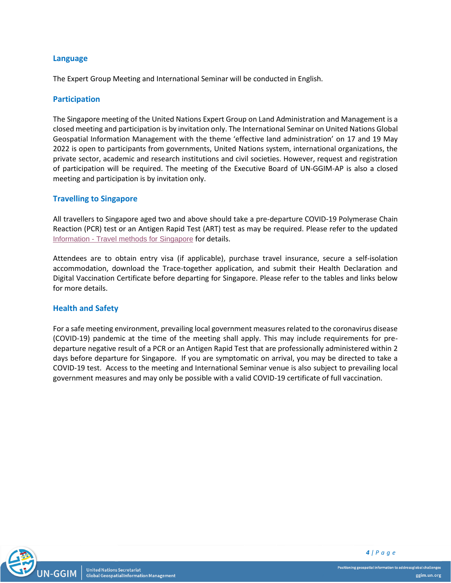#### **Language**

The Expert Group Meeting and International Seminar will be conducted in English.

#### **Participation**

The Singapore meeting of the United Nations Expert Group on Land Administration and Management is a closed meeting and participation is by invitation only. The International Seminar on United Nations Global Geospatial Information Management with the theme 'effective land administration' on 17 and 19 May 2022 is open to participants from governments, United Nations system, international organizations, the private sector, academic and research institutions and civil societies. However, request and registration of participation will be required. The meeting of the Executive Board of UN-GGIM-AP is also a closed meeting and participation is by invitation only.

#### **Travelling to Singapore**

All travellers to Singapore aged two and above should take a pre-departure COVID-19 Polymerase Chain Reaction (PCR) test or an Antigen Rapid Test (ART) test as may be required. Please refer to the updated Information - [Travel methods for Singapore](https://ggim.un.org/meetings/2022/4th-EG-LAM/documents/Information_Note-4th_Expert_Group_Meeting_and_International_Seminar_06Apr.pdf) for details.

Attendees are to obtain entry visa (if applicable), purchase travel insurance, secure a self-isolation accommodation, download the Trace-together application, and submit their Health Declaration and Digital Vaccination Certificate before departing for Singapore. Please refer to the tables and links below for more details.

#### **Health and Safety**

For a safe meeting environment, prevailing local government measures related to the coronavirus disease (COVID-19) pandemic at the time of the meeting shall apply. This may include requirements for predeparture negative result of a PCR or an Antigen Rapid Test that are professionally administered within 2 days before departure for Singapore. If you are symptomatic on arrival, you may be directed to take a COVID-19 test. Access to the meeting and International Seminar venue is also subject to prevailing local government measures and may only be possible with a valid COVID-19 certificate of full vaccination.



**United Nations Secretariat** Global Geospatial Information Management *4 | P a g e*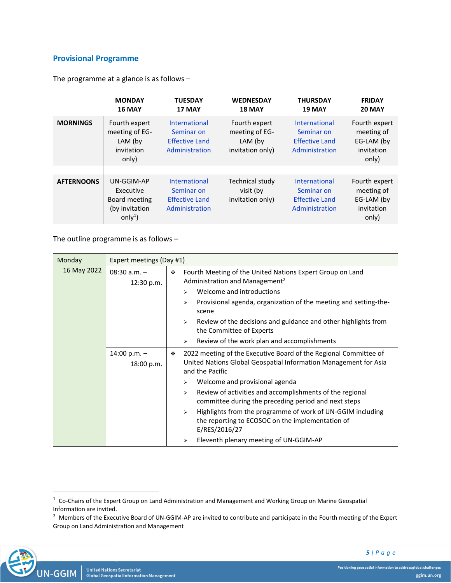## **Provisional Programme**

The programme at a glance is as follows –

|                   | <b>MONDAY</b><br><b>16 MAY</b>                                          | <b>TUESDAY</b><br>17 MAY                                                      | <b>WEDNESDAY</b><br><b>18 MAY</b>                              | <b>THURSDAY</b><br><b>19 MAY</b>                                       | <b>FRIDAY</b><br><b>20 MAY</b>                                   |
|-------------------|-------------------------------------------------------------------------|-------------------------------------------------------------------------------|----------------------------------------------------------------|------------------------------------------------------------------------|------------------------------------------------------------------|
| <b>MORNINGS</b>   | Fourth expert<br>meeting of EG-<br>LAM (by<br>invitation<br>only)       | <b>International</b><br>Seminar on<br><b>Effective Land</b><br>Administration | Fourth expert<br>meeting of EG-<br>LAM (by<br>invitation only) | International<br>Seminar on<br><b>Effective Land</b><br>Administration | Fourth expert<br>meeting of<br>EG-LAM (by<br>invitation<br>only) |
| <b>AFTERNOONS</b> | UN-GGIM-AP<br>Executive<br>Board meeting<br>(by invitation<br>$only1$ ) | <b>International</b><br>Seminar on<br><b>Effective Land</b><br>Administration | <b>Technical study</b><br>visit (by<br>invitation only)        | International<br>Seminar on<br><b>Effective Land</b><br>Administration | Fourth expert<br>meeting of<br>EG-LAM (by<br>invitation<br>only) |

The outline programme is as follows –

| Monday<br>16 May 2022 | Expert meetings (Day #1)     |   |                                                                                                                                                          |  |
|-----------------------|------------------------------|---|----------------------------------------------------------------------------------------------------------------------------------------------------------|--|
|                       | $08:30 a.m. -$<br>12:30 p.m. | ❖ | Fourth Meeting of the United Nations Expert Group on Land<br>Administration and Management <sup>2</sup><br>Welcome and introductions<br>↘                |  |
|                       |                              |   | Provisional agenda, organization of the meeting and setting-the-<br>⋗<br>scene                                                                           |  |
|                       |                              |   | Review of the decisions and guidance and other highlights from<br>$\blacktriangleright$<br>the Committee of Experts                                      |  |
|                       |                              |   | Review of the work plan and accomplishments<br>➤                                                                                                         |  |
|                       | $14:00 p.m. -$<br>18:00 p.m. | ❖ | 2022 meeting of the Executive Board of the Regional Committee of<br>United Nations Global Geospatial Information Management for Asia<br>and the Pacific  |  |
|                       |                              |   | Welcome and provisional agenda<br>⋗                                                                                                                      |  |
|                       |                              | ⋗ | Review of activities and accomplishments of the regional<br>committee during the preceding period and next steps                                         |  |
|                       |                              |   | Highlights from the programme of work of UN-GGIM including<br>$\blacktriangleright$<br>the reporting to ECOSOC on the implementation of<br>E/RES/2016/27 |  |
|                       |                              |   | Eleventh plenary meeting of UN-GGIM-AP<br>⋗                                                                                                              |  |

 $2$  Members of the Executive Board of UN-GGIM-AP are invited to contribute and participate in the Fourth meeting of the Expert Group on Land Administration and Management



*5 | P a g e*

 $1$  Co-Chairs of the Expert Group on Land Administration and Management and Working Group on Marine Geospatial Information are invited.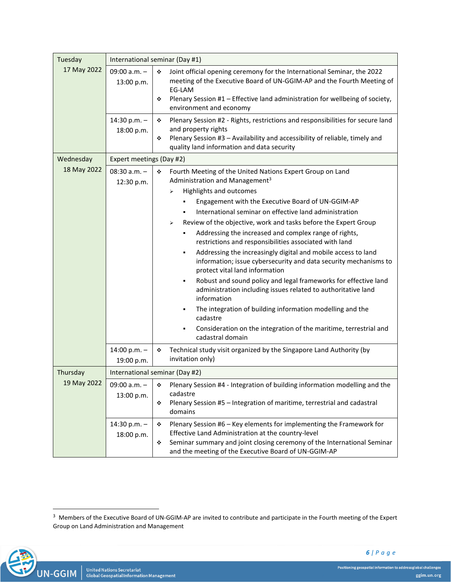| Tuesday     | International seminar (Day #1) |                                                                                                                                                                                                                                                                                  |  |  |
|-------------|--------------------------------|----------------------------------------------------------------------------------------------------------------------------------------------------------------------------------------------------------------------------------------------------------------------------------|--|--|
| 17 May 2022 | 09:00 $a.m. -$<br>13:00 p.m.   | Joint official opening ceremony for the International Seminar, the 2022<br>❖<br>meeting of the Executive Board of UN-GGIM-AP and the Fourth Meeting of<br>EG-LAM<br>Plenary Session #1 - Effective land administration for wellbeing of society,<br>❖<br>environment and economy |  |  |
|             | 14:30 p.m. $-$<br>18:00 p.m.   | Plenary Session #2 - Rights, restrictions and responsibilities for secure land<br>❖<br>and property rights<br>Plenary Session #3 - Availability and accessibility of reliable, timely and<br>❖<br>quality land information and data security                                     |  |  |
| Wednesday   | Expert meetings (Day #2)       |                                                                                                                                                                                                                                                                                  |  |  |
| 18 May 2022 | $08:30 a.m. -$<br>12:30 p.m.   | Fourth Meeting of the United Nations Expert Group on Land<br>❖<br>Administration and Management <sup>3</sup><br>Highlights and outcomes<br>⋗                                                                                                                                     |  |  |
|             |                                | Engagement with the Executive Board of UN-GGIM-AP                                                                                                                                                                                                                                |  |  |
|             |                                | International seminar on effective land administration                                                                                                                                                                                                                           |  |  |
|             |                                | Review of the objective, work and tasks before the Expert Group<br>⋗                                                                                                                                                                                                             |  |  |
|             |                                | Addressing the increased and complex range of rights,<br>restrictions and responsibilities associated with land                                                                                                                                                                  |  |  |
|             |                                | Addressing the increasingly digital and mobile access to land<br>information; issue cybersecurity and data security mechanisms to<br>protect vital land information                                                                                                              |  |  |
|             |                                | Robust and sound policy and legal frameworks for effective land<br>٠<br>administration including issues related to authoritative land<br>information                                                                                                                             |  |  |
|             |                                | The integration of building information modelling and the<br>cadastre                                                                                                                                                                                                            |  |  |
|             |                                | Consideration on the integration of the maritime, terrestrial and<br>٠<br>cadastral domain                                                                                                                                                                                       |  |  |
|             | 14:00 p.m. $-$<br>19:00 p.m.   | Technical study visit organized by the Singapore Land Authority (by<br>۰<br>invitation only)                                                                                                                                                                                     |  |  |
| Thursday    |                                | International seminar (Day #2)                                                                                                                                                                                                                                                   |  |  |
| 19 May 2022 | 09:00 a.m. -                   | Plenary Session #4 - Integration of building information modelling and the<br>❖                                                                                                                                                                                                  |  |  |
|             | 13:00 p.m.                     | cadastre<br>Plenary Session #5 - Integration of maritime, terrestrial and cadastral<br>❖<br>domains                                                                                                                                                                              |  |  |
|             | 14:30 p.m. $-$                 | Plenary Session #6 - Key elements for implementing the Framework for<br>❖                                                                                                                                                                                                        |  |  |
|             | 18:00 p.m.                     | Effective Land Administration at the country-level                                                                                                                                                                                                                               |  |  |
|             |                                | Seminar summary and joint closing ceremony of the International Seminar<br>❖<br>and the meeting of the Executive Board of UN-GGIM-AP                                                                                                                                             |  |  |

 $3$  Members of the Executive Board of UN-GGIM-AP are invited to contribute and participate in the Fourth meeting of the Expert Group on Land Administration and Management

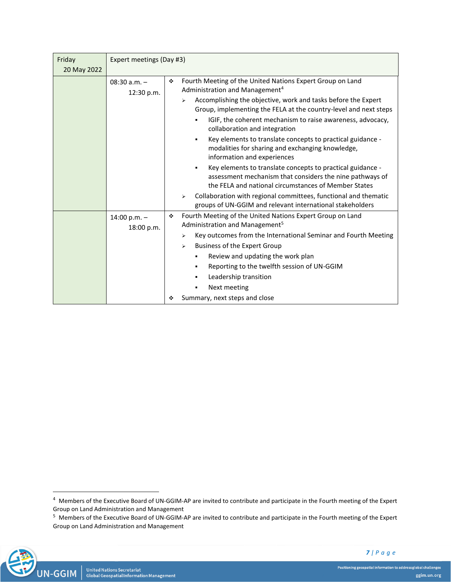| Friday      | Expert meetings (Day #3)     |                                                                                                                                                                                     |  |
|-------------|------------------------------|-------------------------------------------------------------------------------------------------------------------------------------------------------------------------------------|--|
| 20 May 2022 |                              |                                                                                                                                                                                     |  |
|             | 08:30 $a.m. -$<br>12:30 p.m. | Fourth Meeting of the United Nations Expert Group on Land<br>٠<br>Administration and Management <sup>4</sup><br>Accomplishing the objective, work and tasks before the Expert<br>⋗  |  |
|             |                              | Group, implementing the FELA at the country-level and next steps<br>IGIF, the coherent mechanism to raise awareness, advocacy,<br>collaboration and integration                     |  |
|             |                              | Key elements to translate concepts to practical guidance -<br>modalities for sharing and exchanging knowledge,<br>information and experiences                                       |  |
|             |                              | Key elements to translate concepts to practical guidance -<br>٠<br>assessment mechanism that considers the nine pathways of<br>the FELA and national circumstances of Member States |  |
|             |                              | Collaboration with regional committees, functional and thematic<br>$\blacktriangleright$<br>groups of UN-GGIM and relevant international stakeholders                               |  |
|             | 14:00 p.m. $-$<br>18:00 p.m. | Fourth Meeting of the United Nations Expert Group on Land<br>٠<br>Administration and Management <sup>5</sup>                                                                        |  |
|             |                              | Key outcomes from the International Seminar and Fourth Meeting<br>⋗<br>Business of the Expert Group<br>⋗<br>Review and updating the work plan                                       |  |
|             |                              | Reporting to the twelfth session of UN-GGIM<br>٠<br>Leadership transition                                                                                                           |  |
|             |                              | Next meeting<br>٠                                                                                                                                                                   |  |
|             |                              | Summary, next steps and close<br>٠                                                                                                                                                  |  |

<sup>&</sup>lt;sup>5</sup> Members of the Executive Board of UN-GGIM-AP are invited to contribute and participate in the Fourth meeting of the Expert Group on Land Administration and Management



<sup>&</sup>lt;sup>4</sup> Members of the Executive Board of UN-GGIM-AP are invited to contribute and participate in the Fourth meeting of the Expert Group on Land Administration and Management